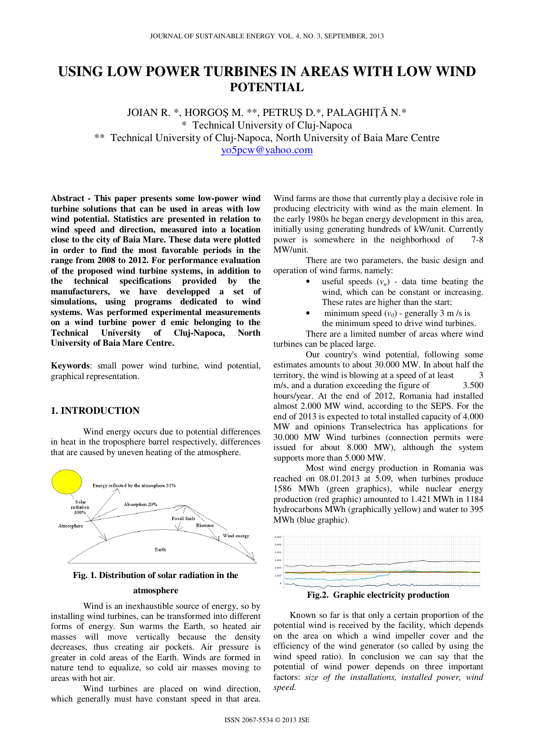# **USING LOW POWER TURBINES IN AREAS WITH LOW WIND POTENTIAL**

JOIAN R. \*, HORGOŞ M. \*\*, PETRUŞ D.\*, PALAGHIŢĂ N.\* \* Technical University of Cluj-Napoca \*\* Technical University of Cluj-Napoca, North University of Baia Mare Centre yo5pcw@yahoo.com

**Abstract - This paper presents some low-power wind turbine solutions that can be used in areas with low wind potential. Statistics are presented in relation to wind speed and direction, measured into a location close to the city of Baia Mare. These data were plotted in order to find the most favorable periods in the range from 2008 to 2012. For performance evaluation of the proposed wind turbine systems, in addition to the technical specifications provided by the manufacturers, we have developped a set of simulations, using programs dedicated to wind systems. Was performed experimental measurements on a wind turbine power d emic belonging to the Technical University of Cluj-Napoca, North University of Baia Mare Centre.** 

**Keywords**: small power wind turbine, wind potential, graphical representation.

# **1. INTRODUCTION**

Wind energy occurs due to potential differences in heat in the troposphere barrel respectively, differences that are caused by uneven heating of the atmosphere.



**Fig. 1. Distribution of solar radiation in the** 

### **atmosphere**

Wind is an inexhaustible source of energy, so by installing wind turbines, can be transformed into different forms of energy. Sun warms the Earth, so heated air masses will move vertically because the density decreases, thus creating air pockets. Air pressure is greater in cold areas of the Earth. Winds are formed in nature tend to equalize, so cold air masses moving to areas with hot air.

Wind turbines are placed on wind direction, which generally must have constant speed in that area.

Wind farms are those that currently play a decisive role in producing electricity with wind as the main element. In the early 1980s he began energy development in this area, initially using generating hundreds of kW/unit. Currently power is somewhere in the neighborhood of 7-8 MW/unit.

There are two parameters, the basic design and operation of wind farms, namely:

- useful speeds  $(v_u)$  data time beating the wind, which can be constant or increasing. These rates are higher than the start;
- minimum speed  $(v_0)$  generally 3 m /s is the minimum speed to drive wind turbines.

There are a limited number of areas where wind turbines can be placed large.

 Our country's wind potential, following some estimates amounts to about 30.000 MW. In about half the territory, the wind is blowing at a speed of at least 3 m/s, and a duration exceeding the figure of 3.500 hours/year. At the end of 2012, Romania had installed almost 2.000 MW wind, according to the SEPS. For the end of 2013 is expected to total installed capacity of 4.000 MW and opinions Transelectrica has applications for 30.000 MW Wind turbines (connection permits were issued for about 8.000 MW), although the system supports more than 5.000 MW.

 Most wind energy production in Romania was reached on 08.01.2013 at 5.09, when turbines produce 1586 MWh (green graphics), while nuclear energy production (red graphic) amounted to 1.421 MWh in 1184 hydrocarbons MWh (graphically yellow) and water to 395 MWh (blue graphic).



**Fig.2. Graphic electricity production** 

Known so far is that only a certain proportion of the potential wind is received by the facility, which depends on the area on which a wind impeller cover and the efficiency of the wind generator (so called by using the wind speed ratio). In conclusion we can say that the potential of wind power depends on three important factors: *size of the installations, installed power, wind speed*.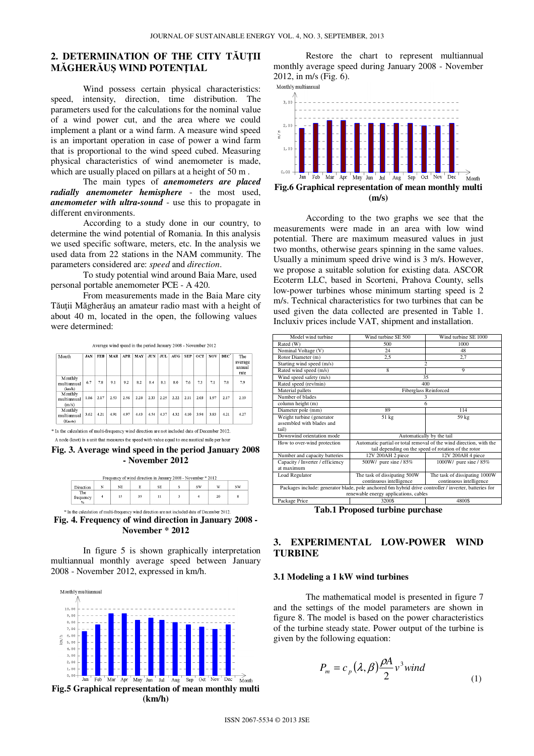# **2. DETERMINATION OF THE CITY T**Ă**U**Ţ**II M**Ă**GHER**Ă**U**Ş **WIND POTEN**Ţ**IAL**

Wind possess certain physical characteristics: speed, intensity, direction, time distribution. The parameters used for the calculations for the nominal value of a wind power cut, and the area where we could implement a plant or a wind farm. A measure wind speed is an important operation in case of power a wind farm that is proportional to the wind speed cubed. Measuring physical characteristics of wind anemometer is made, which are usually placed on pillars at a height of 50 m.

The main types of *anemometers are placed radially anemometer hemisphere* - the most used, *anemometer with ultra-sound* - use this to propagate in different environments.

According to a study done in our country, to determine the wind potential of Romania. In this analysis we used specific software, meters, etc. In the analysis we used data from 22 stations in the NAM community. The parameters considered are: *speed* and *direction*.

To study potential wind around Baia Mare, used personal portable anemometer PCE - A 420.

From measurements made in the Baia Mare city Tăuţii Măgherăuş an amateur radio mast with a height of about 40 m, located in the open, the following values were determined:

Average wind speed in the period January 2008 - November 2012

| Month                             | <b>JAN</b> | <b>FEB</b> | MAR  | APR  | MAY  | <b>JUN</b> | JUL. | AUG- | <b>SEP</b> | <b>OCT</b> | NOV  | $DEC^*$ | The<br>average<br>annual<br>rate |
|-----------------------------------|------------|------------|------|------|------|------------|------|------|------------|------------|------|---------|----------------------------------|
| Monthly<br>multiannual<br>(km/h)  | 6.7        | 7.8        | 9.1  | 9.2  | 8.2  | 8.4        | 8.1  | 8.0  | 7.6        | 7.3        | 7.1  | 7.8     | 7.9                              |
| Monthly<br>multiannual<br>(m/s)   | 1.86       | 2.17       | 2.53 | 2.56 | 2.28 | 2.33       | 2.25 | 2.22 | 2.11       | 2.03       | 1.97 | 2.17    | 2.19                             |
| Monthly<br>multiannual<br>(Knots) | 3.62       | 4.21       | 4.91 | 4.97 | 4.43 | 4.54       | 4.37 | 4.32 | 4.10       | 3.94       | 3.83 | 4.21    | 4.27                             |

\* In the calculation of multi-frequency wind direction are not included data of December 2012. A node (knot) is a unit that measures the speed with value equal to one nautical mile per hour

**Fig. 3. Average wind speed in the period January 2008 - November 2012** 

| Direction                         | N | NE | E  | <b>SE</b> | <b>SW</b> | w  | NW |
|-----------------------------------|---|----|----|-----------|-----------|----|----|
| The<br>frequency<br>$\frac{9}{6}$ |   | 15 | 35 | 11        |           | 20 | 8  |



 In figure 5 is shown graphically interpretation multiannual monthly average speed between January 2008 - November 2012, expressed in km/h.



**Fig.5 Graphical representation of mean monthly multi (km/h)** 

Restore the chart to represent multiannual monthly average speed during January 2008 - November 2012, in m/s (Fig. 6).<br>Monthly multiannual



 According to the two graphs we see that the measurements were made in an area with low wind potential. There are maximum measured values in just two months, otherwise gears spinning in the same values. Usually a minimum speed drive wind is 3 m/s. However, we propose a suitable solution for existing data. ASCOR Ecoterm LLC, based in Scorteni, Prahova County, sells low-power turbines whose minimum starting speed is 2 m/s. Technical characteristics for two turbines that can be used given the data collected are presented in Table 1. Incluxiv prices include VAT, shipment and installation.

| Model wind turbine               | Wind turbine SE 500                                                                                   | Wind turbine SE 1000                                 |  |  |  |  |  |
|----------------------------------|-------------------------------------------------------------------------------------------------------|------------------------------------------------------|--|--|--|--|--|
| Rated (W)                        | 500                                                                                                   | 1000                                                 |  |  |  |  |  |
| Nominal Voltage (V)              | 24                                                                                                    | 48                                                   |  |  |  |  |  |
| Rotor Diameter (m)               | 2.5                                                                                                   | 2.7                                                  |  |  |  |  |  |
| Starting wind speed (m/s)        | $\overline{c}$                                                                                        |                                                      |  |  |  |  |  |
| Rated wind speed (m/s)           | 8                                                                                                     | 9                                                    |  |  |  |  |  |
| Wind speed safety (m/s)          |                                                                                                       | 35                                                   |  |  |  |  |  |
| Rated speed (rev/min)            | 400                                                                                                   |                                                      |  |  |  |  |  |
| Material pallets                 |                                                                                                       | <b>Fiberglass Reinforced</b>                         |  |  |  |  |  |
| Number of blades                 |                                                                                                       | 3                                                    |  |  |  |  |  |
| column height (m)                | 6                                                                                                     |                                                      |  |  |  |  |  |
| Diameter pole (mm)               | 89                                                                                                    | 114                                                  |  |  |  |  |  |
| Weight turbine (generator        | $51$ kg                                                                                               | 59 kg                                                |  |  |  |  |  |
| assembled with blades and        |                                                                                                       |                                                      |  |  |  |  |  |
| tail                             |                                                                                                       |                                                      |  |  |  |  |  |
| Downwind orientation mode        |                                                                                                       | Automatically by the tail                            |  |  |  |  |  |
| How to over-wind protection      | Automatic partial or total removal of the wind direction, with the                                    |                                                      |  |  |  |  |  |
|                                  |                                                                                                       | tail depending on the speed of rotation of the rotor |  |  |  |  |  |
| Number and capacity batteries    | 12V 200AH 2 piece                                                                                     | 12V 200AH 4 piece                                    |  |  |  |  |  |
| Capacity / Inverter / efficiency | 500W/ pure sine / 85%                                                                                 | 1000W/ pure sine / 85%                               |  |  |  |  |  |
| at maximum                       |                                                                                                       |                                                      |  |  |  |  |  |
| Load Regulator                   | The task of dissipating 500W                                                                          | The task of dissipating 1000W                        |  |  |  |  |  |
|                                  | continuous intelligence                                                                               | continuous intelligence                              |  |  |  |  |  |
|                                  | Packages include: generator blade, pole anchored 6m hybrid drive controller / inverter, batteries for |                                                      |  |  |  |  |  |
|                                  | renewable energy applications, cables                                                                 |                                                      |  |  |  |  |  |
| Package Price                    | 3200\$                                                                                                | 4800\$                                               |  |  |  |  |  |

**Tab.1 Proposed turbine purchase** 

# **3. EXPERIMENTAL LOW-POWER WIND TURBINE**

#### **3.1 Modeling a 1 kW wind turbines**

The mathematical model is presented in figure 7 and the settings of the model parameters are shown in figure 8. The model is based on the power characteristics of the turbine steady state. Power output of the turbine is given by the following equation:

$$
P_m = c_p(\lambda, \beta) \frac{\rho A}{2} v^3 wind
$$
 (1)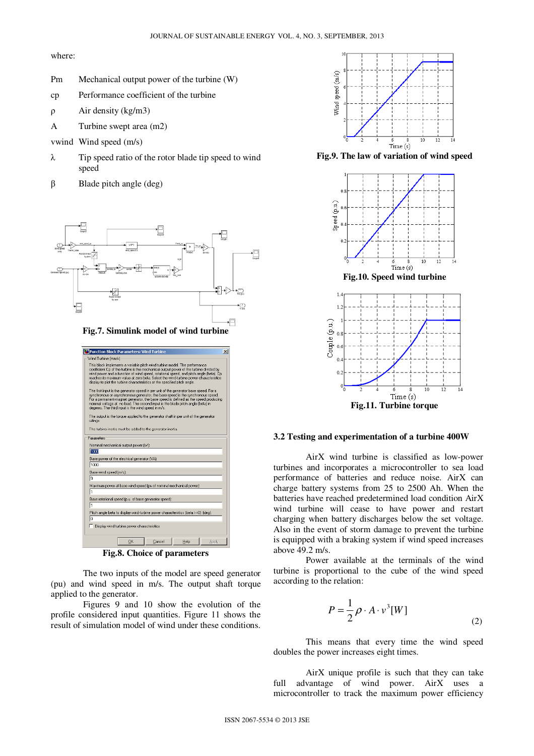where:

- Pm Mechanical output power of the turbine (W)
- cp Performance coefficient of the turbine
- ρ Air density (kg/m3)
- A Turbine swept area (m2)
- vwind Wind speed (m/s)
- λ Tip speed ratio of the rotor blade tip speed to wind speed
- $β$  Blade pitch angle (deg)



**Fig.7. Simulink model of wind turbine** 

| Function Block Parameters: Wind Turbine                                                                                                                                                                                                                                                                                                                                                                                             | $\times$ |  |  |  |  |  |  |  |  |  |  |
|-------------------------------------------------------------------------------------------------------------------------------------------------------------------------------------------------------------------------------------------------------------------------------------------------------------------------------------------------------------------------------------------------------------------------------------|----------|--|--|--|--|--|--|--|--|--|--|
| Wind Turbine (mask)                                                                                                                                                                                                                                                                                                                                                                                                                 |          |  |  |  |  |  |  |  |  |  |  |
| This block implements a variable pitch wind turbine model. The performance<br>coefficient Cp of the turbine is the mechanical output power of the turbine divided by<br>wind power and a function of wind speed, rotational speed, and pitch angle (beta). Cp<br>reaches its maximum value at zero beta. Select the wind-turbine power characteristics<br>display to plot the turbine characteristics at the specified pitch angle. |          |  |  |  |  |  |  |  |  |  |  |
| The first input is the generator speed in per unit of the generator base speed. For a<br>synchronous or asynchronous generator, the base speed is the synchronous speed.<br>For a permanent-magnet generator, the base speed is defined as the speed producing<br>nominal voltage at no load. The second input is the blade pitch angle (beta) in<br>degrees. The third input is the wind speed in m/s.                             |          |  |  |  |  |  |  |  |  |  |  |
| The output is the torque applied to the generator shaft in per unit of the generator<br>ratings.                                                                                                                                                                                                                                                                                                                                    |          |  |  |  |  |  |  |  |  |  |  |
| The turbine inertia must be added to the generator inertia.                                                                                                                                                                                                                                                                                                                                                                         |          |  |  |  |  |  |  |  |  |  |  |
| Parameters                                                                                                                                                                                                                                                                                                                                                                                                                          |          |  |  |  |  |  |  |  |  |  |  |
| Nominal mechanical output power [W]:                                                                                                                                                                                                                                                                                                                                                                                                |          |  |  |  |  |  |  |  |  |  |  |
| 1000                                                                                                                                                                                                                                                                                                                                                                                                                                |          |  |  |  |  |  |  |  |  |  |  |
| Base power of the electrical generator (VA):                                                                                                                                                                                                                                                                                                                                                                                        |          |  |  |  |  |  |  |  |  |  |  |
| 1000                                                                                                                                                                                                                                                                                                                                                                                                                                |          |  |  |  |  |  |  |  |  |  |  |
| Base wind speed (m/s):                                                                                                                                                                                                                                                                                                                                                                                                              |          |  |  |  |  |  |  |  |  |  |  |
| l9                                                                                                                                                                                                                                                                                                                                                                                                                                  |          |  |  |  |  |  |  |  |  |  |  |
| Maximum power at base wind speed (pu of nominal mechanical power);                                                                                                                                                                                                                                                                                                                                                                  |          |  |  |  |  |  |  |  |  |  |  |
| h                                                                                                                                                                                                                                                                                                                                                                                                                                   |          |  |  |  |  |  |  |  |  |  |  |
| Base rotational speed (p.u. of base generator speed);                                                                                                                                                                                                                                                                                                                                                                               |          |  |  |  |  |  |  |  |  |  |  |
| h                                                                                                                                                                                                                                                                                                                                                                                                                                   |          |  |  |  |  |  |  |  |  |  |  |
| Pitch angle beta to display wind-turbine power characteristics (beta >=0) (deg);                                                                                                                                                                                                                                                                                                                                                    |          |  |  |  |  |  |  |  |  |  |  |
| Го                                                                                                                                                                                                                                                                                                                                                                                                                                  |          |  |  |  |  |  |  |  |  |  |  |
| Display wind turbine power characteristics                                                                                                                                                                                                                                                                                                                                                                                          |          |  |  |  |  |  |  |  |  |  |  |
| OK<br>Cancel<br>Help<br>Apply                                                                                                                                                                                                                                                                                                                                                                                                       |          |  |  |  |  |  |  |  |  |  |  |

**Fig.8. Choice of parameters** 

The two inputs of the model are speed generator (pu) and wind speed in m/s. The output shaft torque applied to the generator.

Figures 9 and 10 show the evolution of the profile considered input quantities. Figure 11 shows the result of simulation model of wind under these conditions.



**Fig.9. The law of variation of wind speed** 



# **3.2 Testing and experimentation of a turbine 400W**

AirX wind turbine is classified as low-power turbines and incorporates a microcontroller to sea load performance of batteries and reduce noise. AirX can charge battery systems from 25 to 2500 Ah. When the batteries have reached predetermined load condition AirX wind turbine will cease to have power and restart charging when battery discharges below the set voltage. Also in the event of storm damage to prevent the turbine is equipped with a braking system if wind speed increases above 49.2 m/s.

Power available at the terminals of the wind turbine is proportional to the cube of the wind speed according to the relation:

$$
P = \frac{1}{2}\rho \cdot A \cdot v^3[W]
$$
\n(2)

This means that every time the wind speed doubles the power increases eight times.

AirX unique profile is such that they can take full advantage of wind power. AirX uses a microcontroller to track the maximum power efficiency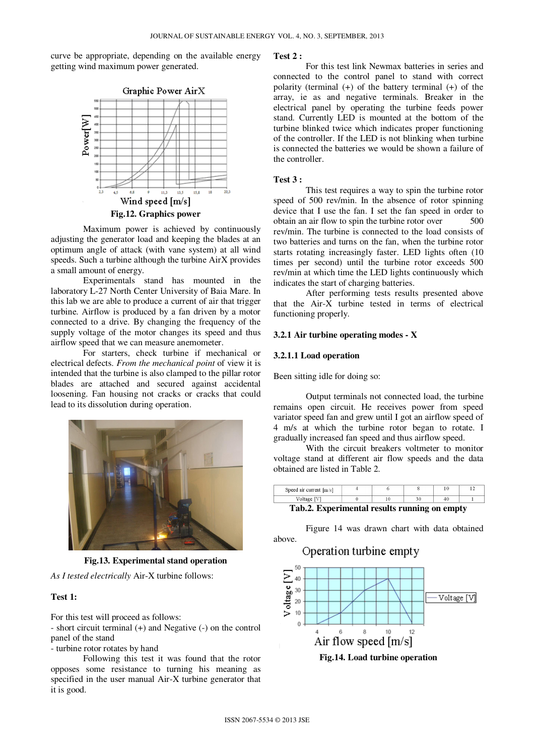curve be appropriate, depending on the available energy getting wind maximum power generated.



Maximum power is achieved by continuously adjusting the generator load and keeping the blades at an optimum angle of attack (with vane system) at all wind speeds. Such a turbine although the turbine AirX provides a small amount of energy.

Experimentals stand has mounted in the laboratory L-27 North Center University of Baia Mare. In this lab we are able to produce a current of air that trigger turbine. Airflow is produced by a fan driven by a motor connected to a drive. By changing the frequency of the supply voltage of the motor changes its speed and thus airflow speed that we can measure anemometer.

For starters, check turbine if mechanical or electrical defects. *From the mechanical point* of view it is intended that the turbine is also clamped to the pillar rotor blades are attached and secured against accidental loosening. Fan housing not cracks or cracks that could lead to its dissolution during operation.



**Fig.13. Experimental stand operation** 

*As I tested electrically* Air-X turbine follows:

# **Test 1:**

For this test will proceed as follows:

- short circuit terminal (+) and Negative (-) on the control panel of the stand

- turbine rotor rotates by hand

Following this test it was found that the rotor opposes some resistance to turning his meaning as specified in the user manual Air-X turbine generator that it is good.

#### **Test 2 :**

For this test link Newmax batteries in series and connected to the control panel to stand with correct polarity (terminal (+) of the battery terminal (+) of the array, ie as and negative terminals. Breaker in the electrical panel by operating the turbine feeds power stand. Currently LED is mounted at the bottom of the turbine blinked twice which indicates proper functioning of the controller. If the LED is not blinking when turbine is connected the batteries we would be shown a failure of the controller.

#### **Test 3 :**

 This test requires a way to spin the turbine rotor speed of 500 rev/min. In the absence of rotor spinning device that I use the fan. I set the fan speed in order to obtain an air flow to spin the turbine rotor over 500 rev/min. The turbine is connected to the load consists of two batteries and turns on the fan, when the turbine rotor starts rotating increasingly faster. LED lights often (10 times per second) until the turbine rotor exceeds 500 rev/min at which time the LED lights continuously which indicates the start of charging batteries.

After performing tests results presented above that the Air-X turbine tested in terms of electrical functioning properly.

#### **3.2.1 Air turbine operating modes - X**

#### **3.2.1.1 Load operation**

Been sitting idle for doing so:

 Output terminals not connected load, the turbine remains open circuit. He receives power from speed variator speed fan and grew until I got an airflow speed of 4 m/s at which the turbine rotor began to rotate. I gradually increased fan speed and thus airflow speed.

With the circuit breakers voltmeter to monitor voltage stand at different air flow speeds and the data obtained are listed in Table 2.

| Speed air current $[m/s]$ |  |  |  |
|---------------------------|--|--|--|
|                           |  |  |  |
| ----                      |  |  |  |

# **Tab.2. Experimental results running on empty**

Figure 14 was drawn chart with data obtained above.

Operation turbine empty



**Fig.14. Load turbine operation**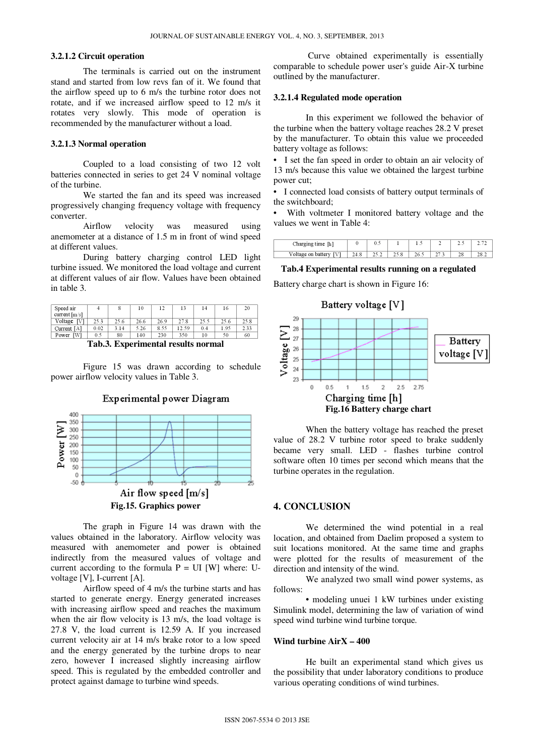# **3.2.1.2 Circuit operation**

The terminals is carried out on the instrument stand and started from low revs fan of it. We found that the airflow speed up to 6 m/s the turbine rotor does not rotate, and if we increased airflow speed to 12 m/s it rotates very slowly. This mode of operation is recommended by the manufacturer without a load.

### **3.2.1.3 Normal operation**

Coupled to a load consisting of two 12 volt batteries connected in series to get 24 V nominal voltage of the turbine.

We started the fan and its speed was increased progressively changing frequency voltage with frequency converter.

Airflow velocity was measured using anemometer at a distance of 1.5 m in front of wind speed at different values.

During battery charging control LED light turbine issued. We monitored the load voltage and current at different values of air flow. Values have been obtained in table 3.

| Speed air<br>current[m/s] |      |      | 10   | 12   |      |      | 16   | 20   |
|---------------------------|------|------|------|------|------|------|------|------|
| Voltage<br>. IVI          | 25.3 | 25.6 | 26.6 | 26.9 | 27.8 | 25.5 | 25.6 | 25.8 |
| Current $[A]$             | 0.02 | 3.14 | 5.26 | 8.55 | 2.59 | 0.4  | 1.95 | 2.33 |
| [W]<br>Power              | 0.5  | 80   | 140  | 230  | 350  | 10   | 50   | 60   |

**Tab.3. Experimental results normal** 

Figure 15 was drawn according to schedule power airflow velocity values in Table 3.



The graph in Figure 14 was drawn with the values obtained in the laboratory. Airflow velocity was measured with anemometer and power is obtained indirectly from the measured values of voltage and current according to the formula  $P = UI$  [W] where: Uvoltage [V], I-current [A].

Airflow speed of 4 m/s the turbine starts and has started to generate energy. Energy generated increases with increasing airflow speed and reaches the maximum when the air flow velocity is 13 m/s, the load voltage is 27.8 V, the load current is 12.59 A. If you increased current velocity air at 14 m/s brake rotor to a low speed and the energy generated by the turbine drops to near zero, however I increased slightly increasing airflow speed. This is regulated by the embedded controller and protect against damage to turbine wind speeds.

 Curve obtained experimentally is essentially comparable to schedule power user's guide Air-X turbine outlined by the manufacturer.

# **3.2.1.4 Regulated mode operation**

 In this experiment we followed the behavior of the turbine when the battery voltage reaches 28.2 V preset by the manufacturer. To obtain this value we proceeded battery voltage as follows:

• I set the fan speed in order to obtain an air velocity of 13 m/s because this value we obtained the largest turbine power cut;

• I connected load consists of battery output terminals of the switchboard;

With voltmeter I monitored battery voltage and the values we went in Table 4:

| Charging time [h]  |      |  | . | <b>ALC 11</b> |  |
|--------------------|------|--|---|---------------|--|
| Voltage on battery | 24.0 |  |   | 40            |  |

### **Tab.4 Experimental results running on a regulated**

Battery charge chart is shown in Figure 16:



When the battery voltage has reached the preset value of 28.2 V turbine rotor speed to brake suddenly became very small. LED - flashes turbine control software often 10 times per second which means that the turbine operates in the regulation.

# **4. CONCLUSION**

We determined the wind potential in a real location, and obtained from Daelim proposed a system to suit locations monitored. At the same time and graphs were plotted for the results of measurement of the direction and intensity of the wind.

We analyzed two small wind power systems, as follows:

• modeling unuei 1 kW turbines under existing Simulink model, determining the law of variation of wind speed wind turbine wind turbine torque.

# **Wind turbine AirX – 400**

 He built an experimental stand which gives us the possibility that under laboratory conditions to produce various operating conditions of wind turbines.